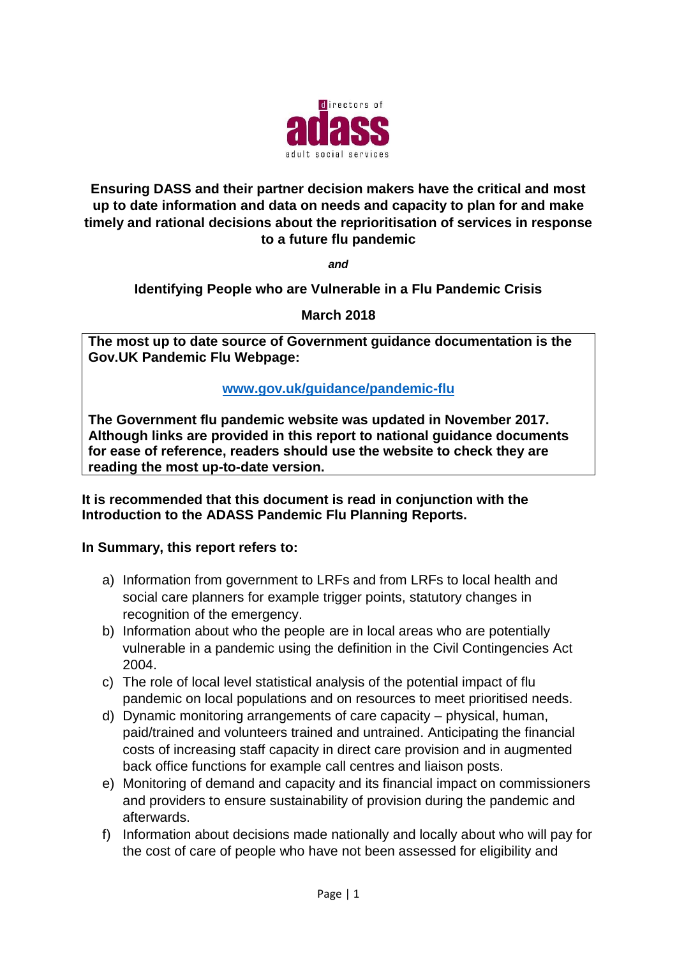

### **Ensuring DASS and their partner decision makers have the critical and most up to date information and data on needs and capacity to plan for and make timely and rational decisions about the reprioritisation of services in response to a future flu pandemic**

*and*

## **Identifying People who are Vulnerable in a Flu Pandemic Crisis**

### **March 2018**

**The most up to date source of Government guidance documentation is the Gov.UK Pandemic Flu Webpage:**

### **[www.gov.uk/guidance/pandemic-flu](http://www.gov.uk/guidance/pandemic-flu)**

**The Government flu pandemic website was updated in November 2017. Although links are provided in this report to national guidance documents for ease of reference, readers should use the website to check they are reading the most up-to-date version.**

#### **It is recommended that this document is read in conjunction with the Introduction to the ADASS Pandemic Flu Planning Reports.**

### **In Summary, this report refers to:**

- a) Information from government to LRFs and from LRFs to local health and social care planners for example trigger points, statutory changes in recognition of the emergency.
- b) Information about who the people are in local areas who are potentially vulnerable in a pandemic using the definition in the Civil Contingencies Act 2004.
- c) The role of local level statistical analysis of the potential impact of flu pandemic on local populations and on resources to meet prioritised needs.
- d) Dynamic monitoring arrangements of care capacity physical, human, paid/trained and volunteers trained and untrained. Anticipating the financial costs of increasing staff capacity in direct care provision and in augmented back office functions for example call centres and liaison posts.
- e) Monitoring of demand and capacity and its financial impact on commissioners and providers to ensure sustainability of provision during the pandemic and afterwards.
- f) Information about decisions made nationally and locally about who will pay for the cost of care of people who have not been assessed for eligibility and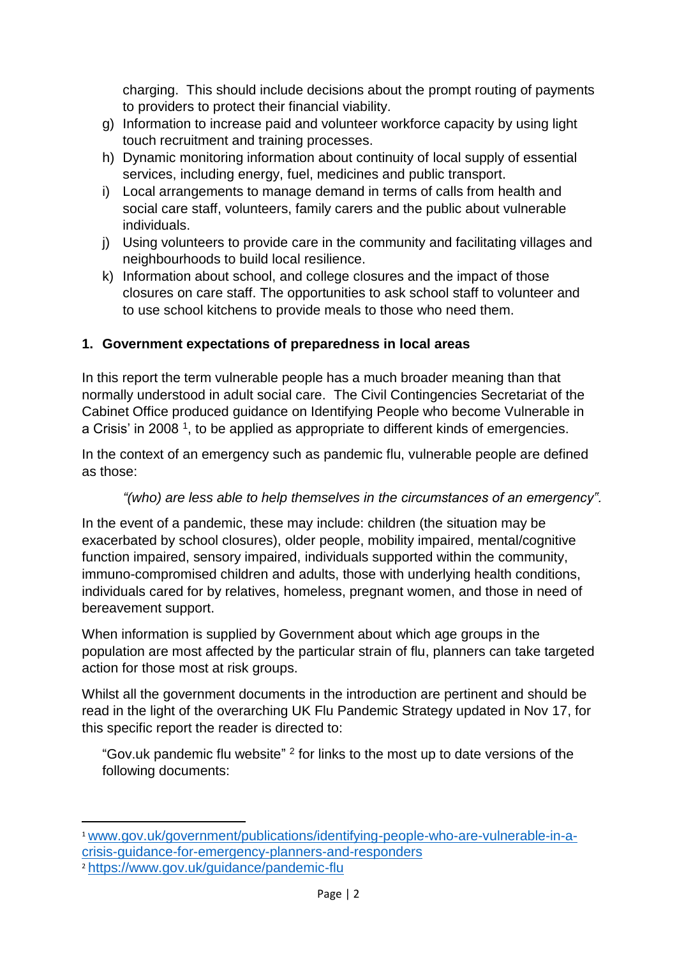charging. This should include decisions about the prompt routing of payments to providers to protect their financial viability.

- g) Information to increase paid and volunteer workforce capacity by using light touch recruitment and training processes.
- h) Dynamic monitoring information about continuity of local supply of essential services, including energy, fuel, medicines and public transport.
- i) Local arrangements to manage demand in terms of calls from health and social care staff, volunteers, family carers and the public about vulnerable individuals.
- j) Using volunteers to provide care in the community and facilitating villages and neighbourhoods to build local resilience.
- k) Information about school, and college closures and the impact of those closures on care staff. The opportunities to ask school staff to volunteer and to use school kitchens to provide meals to those who need them.

## **1. Government expectations of preparedness in local areas**

In this report the term vulnerable people has a much broader meaning than that normally understood in adult social care. The Civil Contingencies Secretariat of the Cabinet Office produced guidance on Identifying People who become Vulnerable in a Crisis' in 2008<sup>1</sup>, to be applied as appropriate to different kinds of emergencies.

In the context of an emergency such as pandemic flu, vulnerable people are defined as those:

### *"(who) are less able to help themselves in the circumstances of an emergency".*

In the event of a pandemic, these may include: children (the situation may be exacerbated by school closures), older people, mobility impaired, mental/cognitive function impaired, sensory impaired, individuals supported within the community, immuno-compromised children and adults, those with underlying health conditions, individuals cared for by relatives, homeless, pregnant women, and those in need of bereavement support.

When information is supplied by Government about which age groups in the population are most affected by the particular strain of flu, planners can take targeted action for those most at risk groups.

Whilst all the government documents in the introduction are pertinent and should be read in the light of the overarching UK Flu Pandemic Strategy updated in Nov 17, for this specific report the reader is directed to:

"Gov.uk pandemic flu website"  $2$  for links to the most up to date versions of the following documents:

1

<sup>1</sup> [www.gov.uk/government/publications/identifying-people-who-are-vulnerable-in-a](http://www.gov.uk/government/publications/identifying-people-who-are-vulnerable-in-a-crisis-guidance-for-emergency-planners-and-responders)[crisis-guidance-for-emergency-planners-and-responders](http://www.gov.uk/government/publications/identifying-people-who-are-vulnerable-in-a-crisis-guidance-for-emergency-planners-and-responders) <sup>2</sup> <https://www.gov.uk/guidance/pandemic-flu>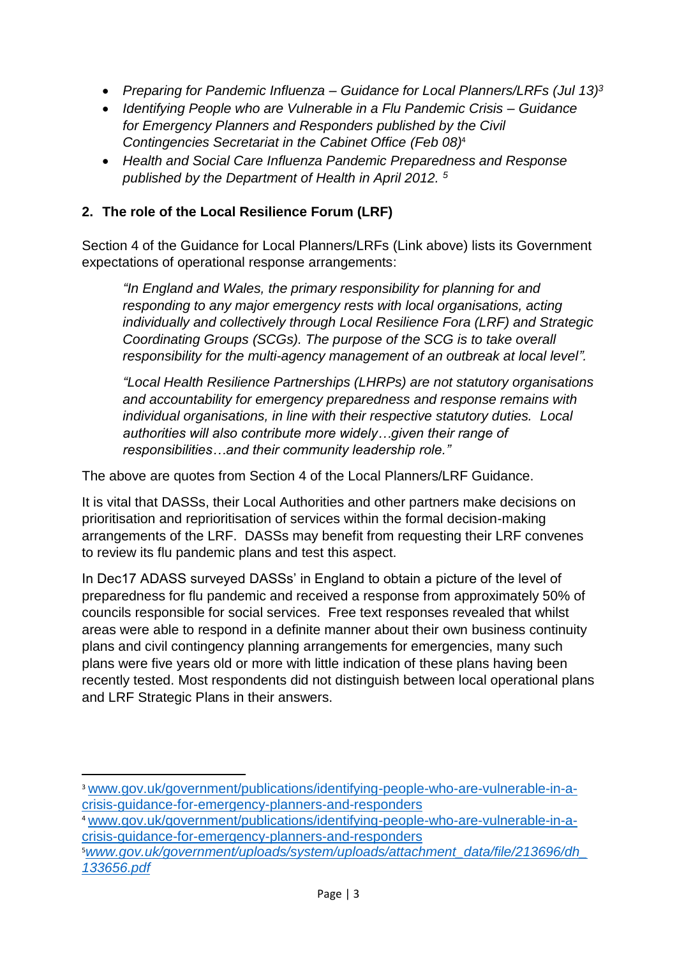- *Preparing for Pandemic Influenza – Guidance for Local Planners/LRFs (Jul 13) 3*
- *Identifying People who are Vulnerable in a Flu Pandemic Crisis – Guidance for Emergency Planners and Responders published by the Civil Contingencies Secretariat in the Cabinet Office (Feb 08)*<sup>4</sup>
- *Health and Social Care Influenza Pandemic Preparedness and Response published by the Department of Health in April 2012. <sup>5</sup>*

# **2. The role of the Local Resilience Forum (LRF)**

Section 4 of the Guidance for Local Planners/LRFs (Link above) lists its Government expectations of operational response arrangements:

*"In England and Wales, the primary responsibility for planning for and responding to any major emergency rests with local organisations, acting individually and collectively through Local Resilience Fora (LRF) and Strategic Coordinating Groups (SCGs). The purpose of the SCG is to take overall responsibility for the multi-agency management of an outbreak at local level".*

*"Local Health Resilience Partnerships (LHRPs) are not statutory organisations and accountability for emergency preparedness and response remains with individual organisations, in line with their respective statutory duties. Local authorities will also contribute more widely…given their range of responsibilities…and their community leadership role."*

The above are quotes from Section 4 of the Local Planners/LRF Guidance.

It is vital that DASSs, their Local Authorities and other partners make decisions on prioritisation and reprioritisation of services within the formal decision-making arrangements of the LRF. DASSs may benefit from requesting their LRF convenes to review its flu pandemic plans and test this aspect.

In Dec17 ADASS surveyed DASSs' in England to obtain a picture of the level of preparedness for flu pandemic and received a response from approximately 50% of councils responsible for social services. Free text responses revealed that whilst areas were able to respond in a definite manner about their own business continuity plans and civil contingency planning arrangements for emergencies, many such plans were five years old or more with little indication of these plans having been recently tested. Most respondents did not distinguish between local operational plans and LRF Strategic Plans in their answers.

 $\overline{a}$ 

<sup>3</sup> [www.gov.uk/government/publications/identifying-people-who-are-vulnerable-in-a](http://www.gov.uk/government/publications/identifying-people-who-are-vulnerable-in-a-crisis-guidance-for-emergency-planners-and-responders)[crisis-guidance-for-emergency-planners-and-responders](http://www.gov.uk/government/publications/identifying-people-who-are-vulnerable-in-a-crisis-guidance-for-emergency-planners-and-responders)

<sup>4</sup> [www.gov.uk/government/publications/identifying-people-who-are-vulnerable-in-a](http://www.gov.uk/government/publications/identifying-people-who-are-vulnerable-in-a-crisis-guidance-for-emergency-planners-and-responders)[crisis-guidance-for-emergency-planners-and-responders](http://www.gov.uk/government/publications/identifying-people-who-are-vulnerable-in-a-crisis-guidance-for-emergency-planners-and-responders)

<sup>5</sup>*[www.gov.uk/government/uploads/system/uploads/attachment\\_data/file/213696/dh\\_](http://www.gov.uk/government/uploads/system/uploads/attachment_data/file/213696/dh_133656.pdf) [133656.pdf](http://www.gov.uk/government/uploads/system/uploads/attachment_data/file/213696/dh_133656.pdf)*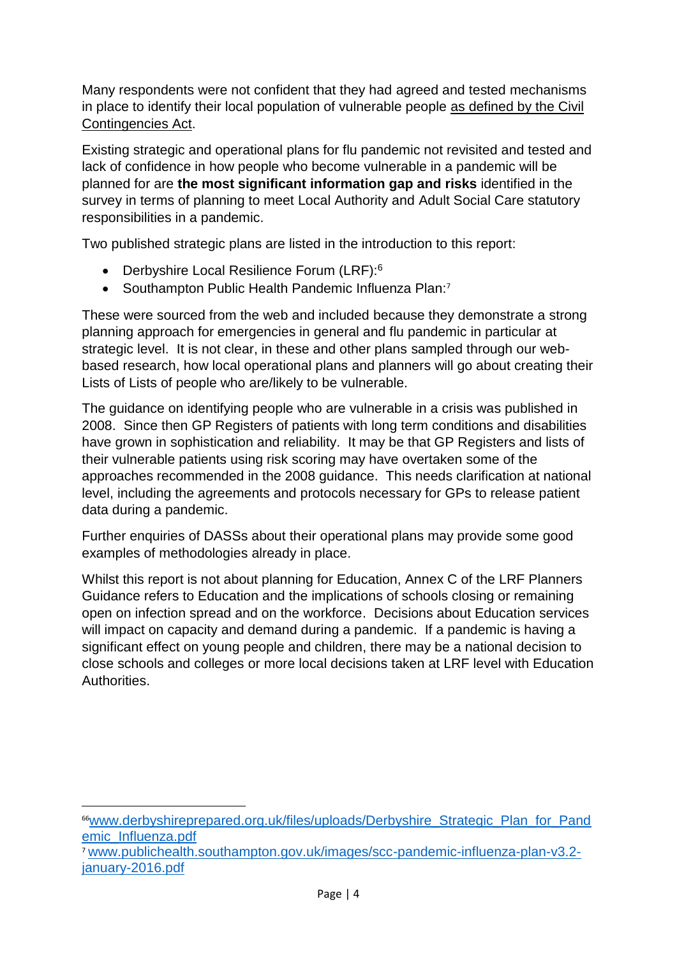Many respondents were not confident that they had agreed and tested mechanisms in place to identify their local population of vulnerable people as defined by the Civil Contingencies Act.

Existing strategic and operational plans for flu pandemic not revisited and tested and lack of confidence in how people who become vulnerable in a pandemic will be planned for are **the most significant information gap and risks** identified in the survey in terms of planning to meet Local Authority and Adult Social Care statutory responsibilities in a pandemic.

Two published strategic plans are listed in the introduction to this report:

- Derbyshire Local Resilience Forum (LRF):<sup>6</sup>
- Southampton Public Health Pandemic Influenza Plan:<sup>7</sup>

These were sourced from the web and included because they demonstrate a strong planning approach for emergencies in general and flu pandemic in particular at strategic level. It is not clear, in these and other plans sampled through our webbased research, how local operational plans and planners will go about creating their Lists of Lists of people who are/likely to be vulnerable.

The guidance on identifying people who are vulnerable in a crisis was published in 2008. Since then GP Registers of patients with long term conditions and disabilities have grown in sophistication and reliability. It may be that GP Registers and lists of their vulnerable patients using risk scoring may have overtaken some of the approaches recommended in the 2008 guidance. This needs clarification at national level, including the agreements and protocols necessary for GPs to release patient data during a pandemic.

Further enquiries of DASSs about their operational plans may provide some good examples of methodologies already in place.

Whilst this report is not about planning for Education, Annex C of the LRF Planners Guidance refers to Education and the implications of schools closing or remaining open on infection spread and on the workforce. Decisions about Education services will impact on capacity and demand during a pandemic. If a pandemic is having a significant effect on young people and children, there may be a national decision to close schools and colleges or more local decisions taken at LRF level with Education **Authorities** 

 $\overline{a}$ <sup>66</sup>[www.derbyshireprepared.org.uk/files/uploads/Derbyshire\\_Strategic\\_Plan\\_for\\_Pand](http://www.derbyshireprepared.org.uk/files/uploads/Derbyshire_Strategic_Plan_for_Pandemic_Influenza.pdf) [emic\\_Influenza.pdf](http://www.derbyshireprepared.org.uk/files/uploads/Derbyshire_Strategic_Plan_for_Pandemic_Influenza.pdf)

<sup>7</sup> [www.publichealth.southampton.gov.uk/images/scc-pandemic-influenza-plan-v3.2](http://www.publichealth.southampton.gov.uk/images/scc-pandemic-influenza-plan-v3.2-january-2016.pdf) [january-2016.pdf](http://www.publichealth.southampton.gov.uk/images/scc-pandemic-influenza-plan-v3.2-january-2016.pdf)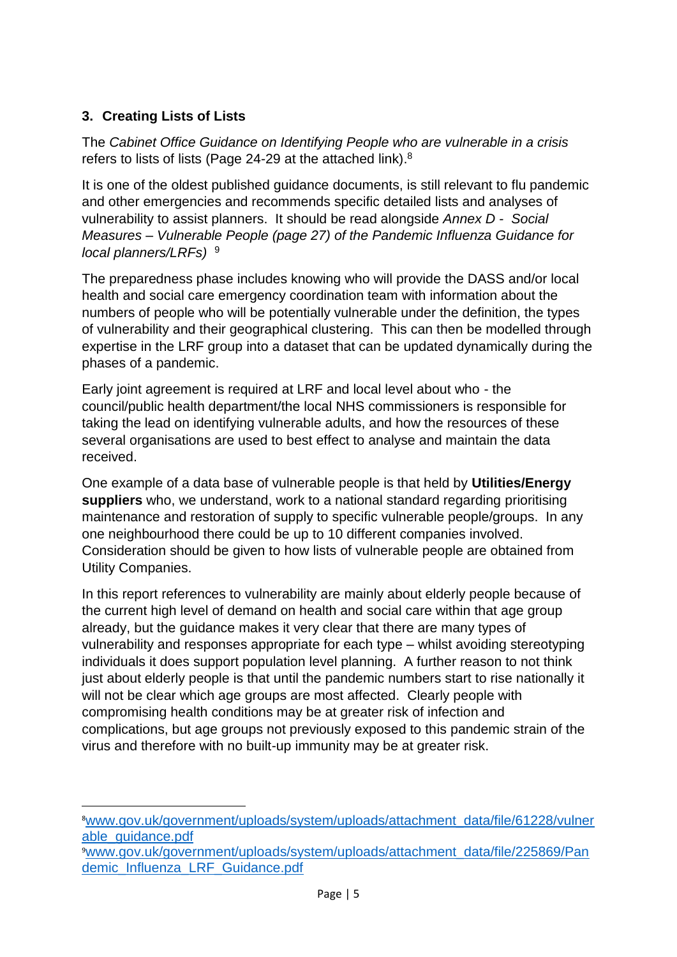# **3. Creating Lists of Lists**

 $\overline{a}$ 

The *Cabinet Office Guidance on Identifying People who are vulnerable in a crisis* refers to lists of lists (Page 24-29 at the attached link).<sup>8</sup>

It is one of the oldest published guidance documents, is still relevant to flu pandemic and other emergencies and recommends specific detailed lists and analyses of vulnerability to assist planners. It should be read alongside *Annex D - Social Measures – Vulnerable People (page 27) of the Pandemic Influenza Guidance for local planners/LRFs)* 9

The preparedness phase includes knowing who will provide the DASS and/or local health and social care emergency coordination team with information about the numbers of people who will be potentially vulnerable under the definition, the types of vulnerability and their geographical clustering. This can then be modelled through expertise in the LRF group into a dataset that can be updated dynamically during the phases of a pandemic.

Early joint agreement is required at LRF and local level about who - the council/public health department/the local NHS commissioners is responsible for taking the lead on identifying vulnerable adults, and how the resources of these several organisations are used to best effect to analyse and maintain the data received.

One example of a data base of vulnerable people is that held by **Utilities/Energy suppliers** who, we understand, work to a national standard regarding prioritising maintenance and restoration of supply to specific vulnerable people/groups. In any one neighbourhood there could be up to 10 different companies involved. Consideration should be given to how lists of vulnerable people are obtained from Utility Companies.

In this report references to vulnerability are mainly about elderly people because of the current high level of demand on health and social care within that age group already, but the guidance makes it very clear that there are many types of vulnerability and responses appropriate for each type – whilst avoiding stereotyping individuals it does support population level planning. A further reason to not think just about elderly people is that until the pandemic numbers start to rise nationally it will not be clear which age groups are most affected. Clearly people with compromising health conditions may be at greater risk of infection and complications, but age groups not previously exposed to this pandemic strain of the virus and therefore with no built-up immunity may be at greater risk.

<sup>9</sup>[www.gov.uk/government/uploads/system/uploads/attachment\\_data/file/225869/Pan](http://www.gov.uk/government/uploads/system/uploads/attachment_data/file/225869/Pandemic_Influenza_LRF_Guidance.pdf) [demic\\_Influenza\\_LRF\\_Guidance.pdf](http://www.gov.uk/government/uploads/system/uploads/attachment_data/file/225869/Pandemic_Influenza_LRF_Guidance.pdf)

<sup>8</sup>[www.gov.uk/government/uploads/system/uploads/attachment\\_data/file/61228/vulner](http://www.gov.uk/government/uploads/system/uploads/attachment_data/file/61228/vulnerable_guidance.pdf) [able\\_guidance.pdf](http://www.gov.uk/government/uploads/system/uploads/attachment_data/file/61228/vulnerable_guidance.pdf)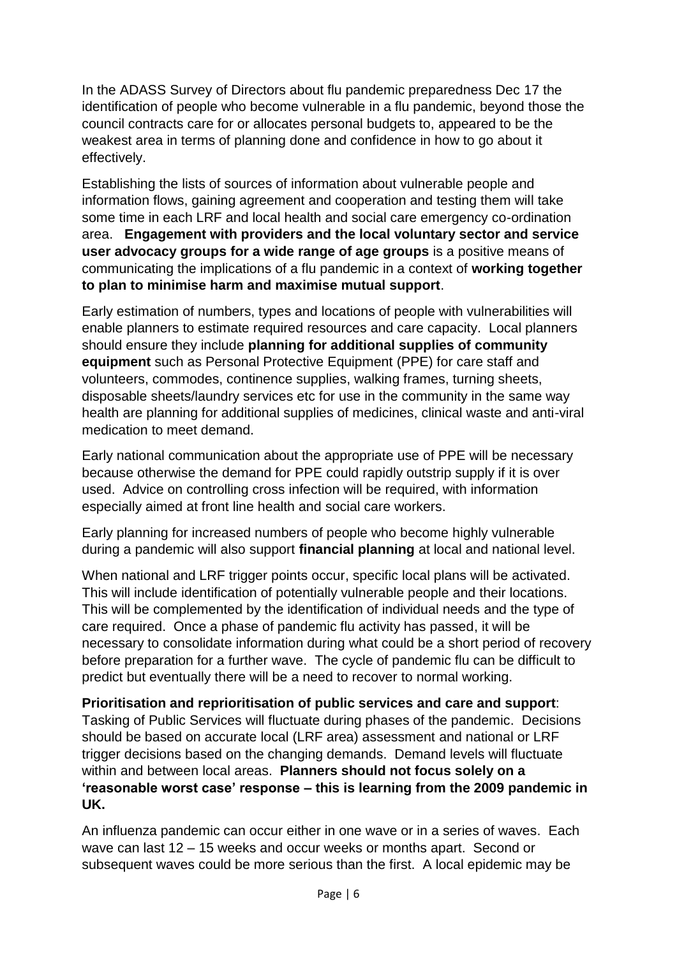In the ADASS Survey of Directors about flu pandemic preparedness Dec 17 the identification of people who become vulnerable in a flu pandemic, beyond those the council contracts care for or allocates personal budgets to, appeared to be the weakest area in terms of planning done and confidence in how to go about it effectively.

Establishing the lists of sources of information about vulnerable people and information flows, gaining agreement and cooperation and testing them will take some time in each LRF and local health and social care emergency co-ordination area. **Engagement with providers and the local voluntary sector and service user advocacy groups for a wide range of age groups** is a positive means of communicating the implications of a flu pandemic in a context of **working together to plan to minimise harm and maximise mutual support**.

Early estimation of numbers, types and locations of people with vulnerabilities will enable planners to estimate required resources and care capacity. Local planners should ensure they include **planning for additional supplies of community equipment** such as Personal Protective Equipment (PPE) for care staff and volunteers, commodes, continence supplies, walking frames, turning sheets, disposable sheets/laundry services etc for use in the community in the same way health are planning for additional supplies of medicines, clinical waste and anti-viral medication to meet demand.

Early national communication about the appropriate use of PPE will be necessary because otherwise the demand for PPE could rapidly outstrip supply if it is over used. Advice on controlling cross infection will be required, with information especially aimed at front line health and social care workers.

Early planning for increased numbers of people who become highly vulnerable during a pandemic will also support **financial planning** at local and national level.

When national and LRF trigger points occur, specific local plans will be activated. This will include identification of potentially vulnerable people and their locations. This will be complemented by the identification of individual needs and the type of care required. Once a phase of pandemic flu activity has passed, it will be necessary to consolidate information during what could be a short period of recovery before preparation for a further wave. The cycle of pandemic flu can be difficult to predict but eventually there will be a need to recover to normal working.

**Prioritisation and reprioritisation of public services and care and support**: Tasking of Public Services will fluctuate during phases of the pandemic. Decisions should be based on accurate local (LRF area) assessment and national or LRF trigger decisions based on the changing demands. Demand levels will fluctuate within and between local areas. **Planners should not focus solely on a 'reasonable worst case' response – this is learning from the 2009 pandemic in UK.**

An influenza pandemic can occur either in one wave or in a series of waves. Each wave can last 12 – 15 weeks and occur weeks or months apart. Second or subsequent waves could be more serious than the first. A local epidemic may be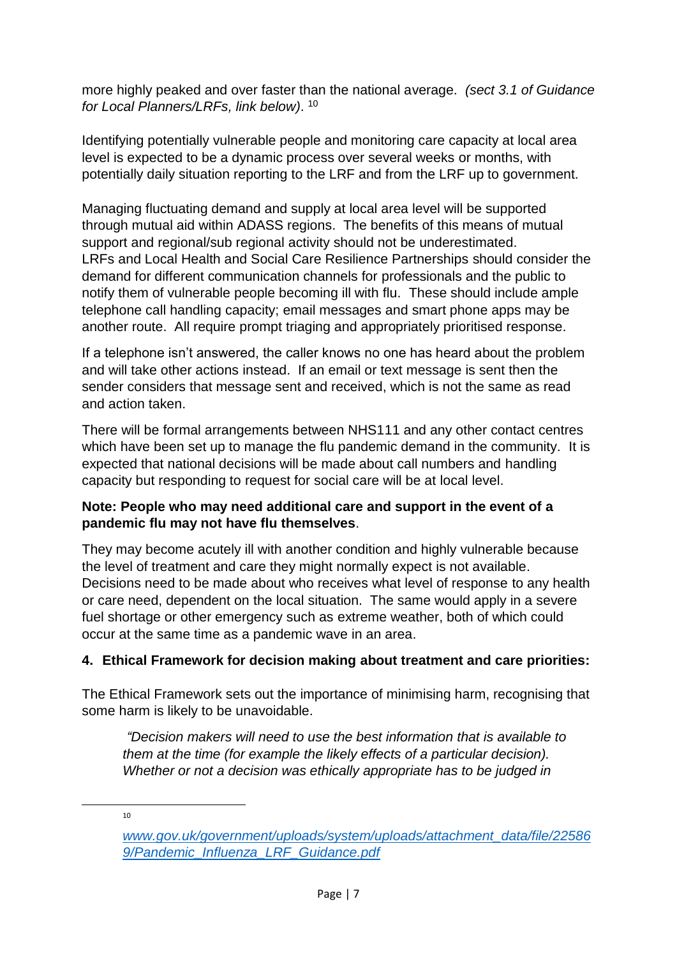more highly peaked and over faster than the national average. *(sect 3.1 of Guidance for Local Planners/LRFs, link below)*. 10

Identifying potentially vulnerable people and monitoring care capacity at local area level is expected to be a dynamic process over several weeks or months, with potentially daily situation reporting to the LRF and from the LRF up to government.

Managing fluctuating demand and supply at local area level will be supported through mutual aid within ADASS regions. The benefits of this means of mutual support and regional/sub regional activity should not be underestimated. LRFs and Local Health and Social Care Resilience Partnerships should consider the demand for different communication channels for professionals and the public to notify them of vulnerable people becoming ill with flu. These should include ample telephone call handling capacity; email messages and smart phone apps may be another route. All require prompt triaging and appropriately prioritised response.

If a telephone isn't answered, the caller knows no one has heard about the problem and will take other actions instead. If an email or text message is sent then the sender considers that message sent and received, which is not the same as read and action taken.

There will be formal arrangements between NHS111 and any other contact centres which have been set up to manage the flu pandemic demand in the community. It is expected that national decisions will be made about call numbers and handling capacity but responding to request for social care will be at local level.

## **Note: People who may need additional care and support in the event of a pandemic flu may not have flu themselves**.

They may become acutely ill with another condition and highly vulnerable because the level of treatment and care they might normally expect is not available. Decisions need to be made about who receives what level of response to any health or care need, dependent on the local situation. The same would apply in a severe fuel shortage or other emergency such as extreme weather, both of which could occur at the same time as a pandemic wave in an area.

## **4. Ethical Framework for decision making about treatment and care priorities:**

The Ethical Framework sets out the importance of minimising harm, recognising that some harm is likely to be unavoidable.

*"Decision makers will need to use the best information that is available to them at the time (for example the likely effects of a particular decision). Whether or not a decision was ethically appropriate has to be judged in* 

 $10<sub>1</sub>$ 

**.** 

*[www.gov.uk/government/uploads/system/uploads/attachment\\_data/file/22586](http://www.gov.uk/government/uploads/system/uploads/attachment_data/file/225869/Pandemic_Influenza_LRF_Guidance.pdf) [9/Pandemic\\_Influenza\\_LRF\\_Guidance.pdf](http://www.gov.uk/government/uploads/system/uploads/attachment_data/file/225869/Pandemic_Influenza_LRF_Guidance.pdf)*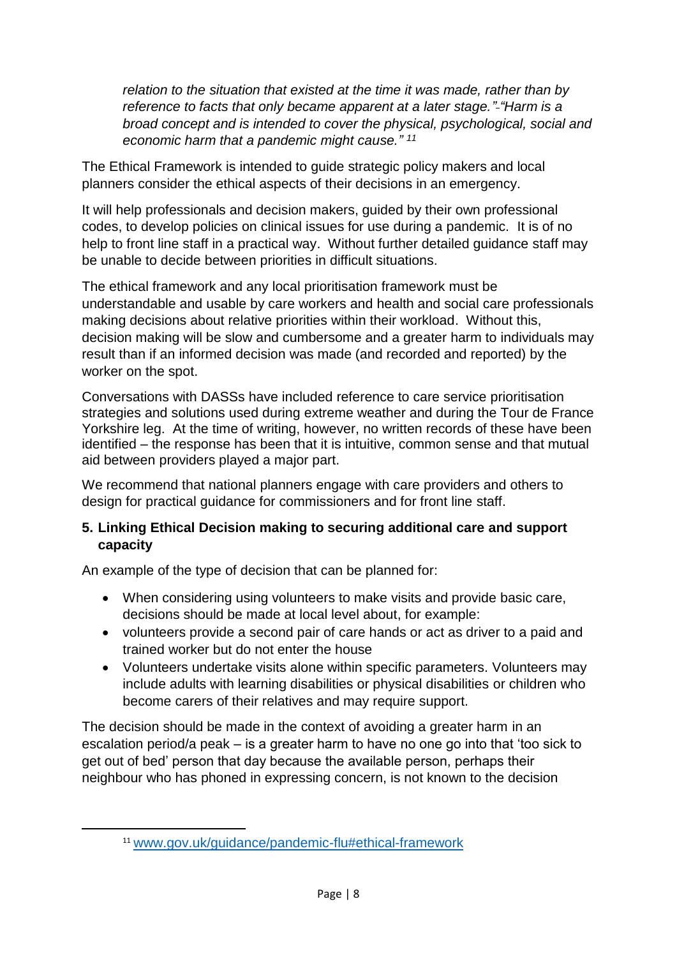*relation to the situation that existed at the time it was made, rather than by reference to facts that only became apparent at a later stage." "Harm is a broad concept and is intended to cover the physical, psychological, social and economic harm that a pandemic might cause." 11*

The Ethical Framework is intended to guide strategic policy makers and local planners consider the ethical aspects of their decisions in an emergency.

It will help professionals and decision makers, guided by their own professional codes, to develop policies on clinical issues for use during a pandemic. It is of no help to front line staff in a practical way. Without further detailed guidance staff may be unable to decide between priorities in difficult situations.

The ethical framework and any local prioritisation framework must be understandable and usable by care workers and health and social care professionals making decisions about relative priorities within their workload. Without this, decision making will be slow and cumbersome and a greater harm to individuals may result than if an informed decision was made (and recorded and reported) by the worker on the spot.

Conversations with DASSs have included reference to care service prioritisation strategies and solutions used during extreme weather and during the Tour de France Yorkshire leg. At the time of writing, however, no written records of these have been identified – the response has been that it is intuitive, common sense and that mutual aid between providers played a major part.

We recommend that national planners engage with care providers and others to design for practical guidance for commissioners and for front line staff.

## **5. Linking Ethical Decision making to securing additional care and support capacity**

An example of the type of decision that can be planned for:

- When considering using volunteers to make visits and provide basic care, decisions should be made at local level about, for example:
- volunteers provide a second pair of care hands or act as driver to a paid and trained worker but do not enter the house
- Volunteers undertake visits alone within specific parameters. Volunteers may include adults with learning disabilities or physical disabilities or children who become carers of their relatives and may require support.

The decision should be made in the context of avoiding a greater harm in an escalation period/a peak – is a greater harm to have no one go into that 'too sick to get out of bed' person that day because the available person, perhaps their neighbour who has phoned in expressing concern, is not known to the decision

**.** 

<sup>11</sup> [www.gov.uk/guidance/pandemic-flu#ethical-framework](http://www.gov.uk/guidance/pandemic-flu#ethical-framework)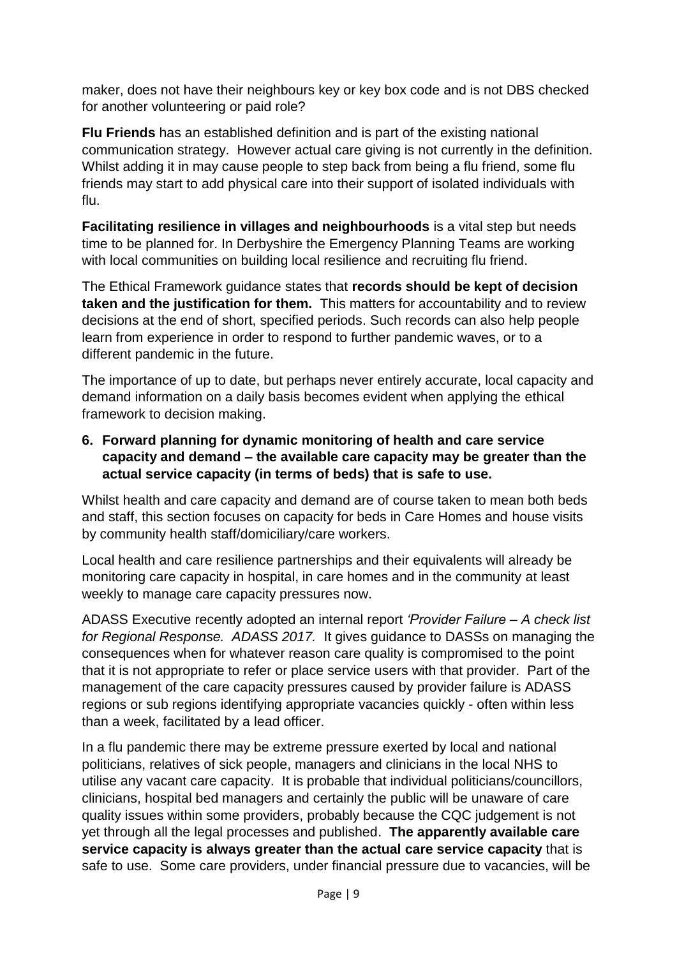maker, does not have their neighbours key or key box code and is not DBS checked for another volunteering or paid role?

**Flu Friends** has an established definition and is part of the existing national communication strategy. However actual care giving is not currently in the definition. Whilst adding it in may cause people to step back from being a flu friend, some flu friends may start to add physical care into their support of isolated individuals with flu.

**Facilitating resilience in villages and neighbourhoods** is a vital step but needs time to be planned for. In Derbyshire the Emergency Planning Teams are working with local communities on building local resilience and recruiting flu friend.

The Ethical Framework guidance states that **records should be kept of decision taken and the justification for them.** This matters for accountability and to review decisions at the end of short, specified periods. Such records can also help people learn from experience in order to respond to further pandemic waves, or to a different pandemic in the future.

The importance of up to date, but perhaps never entirely accurate, local capacity and demand information on a daily basis becomes evident when applying the ethical framework to decision making.

## **6. Forward planning for dynamic monitoring of health and care service capacity and demand – the available care capacity may be greater than the actual service capacity (in terms of beds) that is safe to use.**

Whilst health and care capacity and demand are of course taken to mean both beds and staff, this section focuses on capacity for beds in Care Homes and house visits by community health staff/domiciliary/care workers.

Local health and care resilience partnerships and their equivalents will already be monitoring care capacity in hospital, in care homes and in the community at least weekly to manage care capacity pressures now.

ADASS Executive recently adopted an internal report *'Provider Failure – A check list for Regional Response. ADASS 2017.* It gives guidance to DASSs on managing the consequences when for whatever reason care quality is compromised to the point that it is not appropriate to refer or place service users with that provider. Part of the management of the care capacity pressures caused by provider failure is ADASS regions or sub regions identifying appropriate vacancies quickly - often within less than a week, facilitated by a lead officer.

In a flu pandemic there may be extreme pressure exerted by local and national politicians, relatives of sick people, managers and clinicians in the local NHS to utilise any vacant care capacity. It is probable that individual politicians/councillors, clinicians, hospital bed managers and certainly the public will be unaware of care quality issues within some providers, probably because the CQC judgement is not yet through all the legal processes and published. **The apparently available care service capacity is always greater than the actual care service capacity** that is safe to use. Some care providers, under financial pressure due to vacancies, will be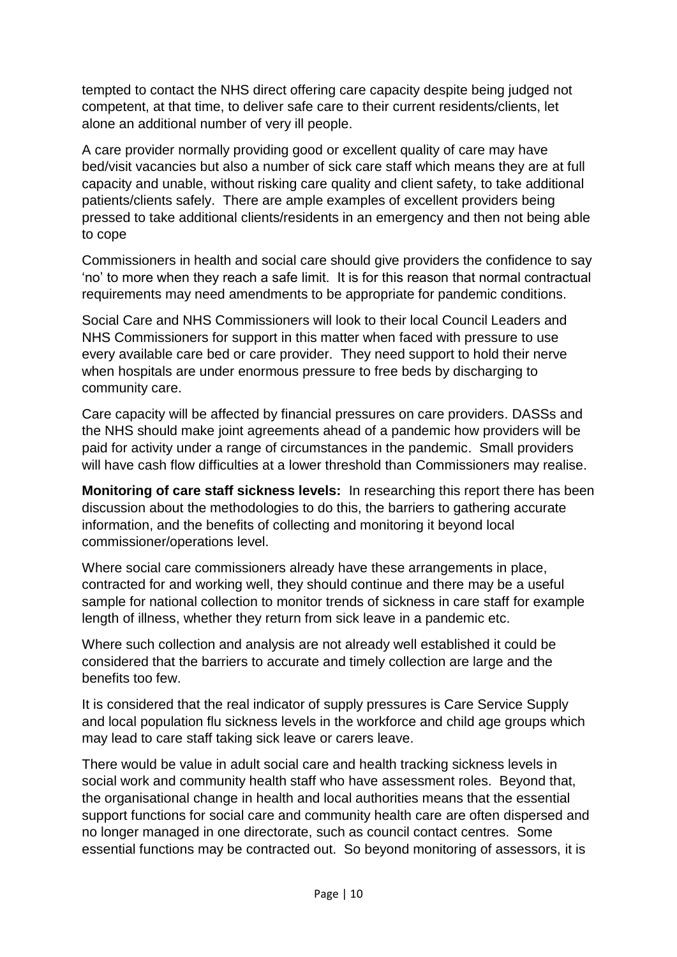tempted to contact the NHS direct offering care capacity despite being judged not competent, at that time, to deliver safe care to their current residents/clients, let alone an additional number of very ill people.

A care provider normally providing good or excellent quality of care may have bed/visit vacancies but also a number of sick care staff which means they are at full capacity and unable, without risking care quality and client safety, to take additional patients/clients safely. There are ample examples of excellent providers being pressed to take additional clients/residents in an emergency and then not being able to cope

Commissioners in health and social care should give providers the confidence to say 'no' to more when they reach a safe limit. It is for this reason that normal contractual requirements may need amendments to be appropriate for pandemic conditions.

Social Care and NHS Commissioners will look to their local Council Leaders and NHS Commissioners for support in this matter when faced with pressure to use every available care bed or care provider. They need support to hold their nerve when hospitals are under enormous pressure to free beds by discharging to community care.

Care capacity will be affected by financial pressures on care providers. DASSs and the NHS should make joint agreements ahead of a pandemic how providers will be paid for activity under a range of circumstances in the pandemic. Small providers will have cash flow difficulties at a lower threshold than Commissioners may realise.

**Monitoring of care staff sickness levels:** In researching this report there has been discussion about the methodologies to do this, the barriers to gathering accurate information, and the benefits of collecting and monitoring it beyond local commissioner/operations level.

Where social care commissioners already have these arrangements in place, contracted for and working well, they should continue and there may be a useful sample for national collection to monitor trends of sickness in care staff for example length of illness, whether they return from sick leave in a pandemic etc.

Where such collection and analysis are not already well established it could be considered that the barriers to accurate and timely collection are large and the benefits too few.

It is considered that the real indicator of supply pressures is Care Service Supply and local population flu sickness levels in the workforce and child age groups which may lead to care staff taking sick leave or carers leave.

There would be value in adult social care and health tracking sickness levels in social work and community health staff who have assessment roles. Beyond that, the organisational change in health and local authorities means that the essential support functions for social care and community health care are often dispersed and no longer managed in one directorate, such as council contact centres. Some essential functions may be contracted out. So beyond monitoring of assessors, it is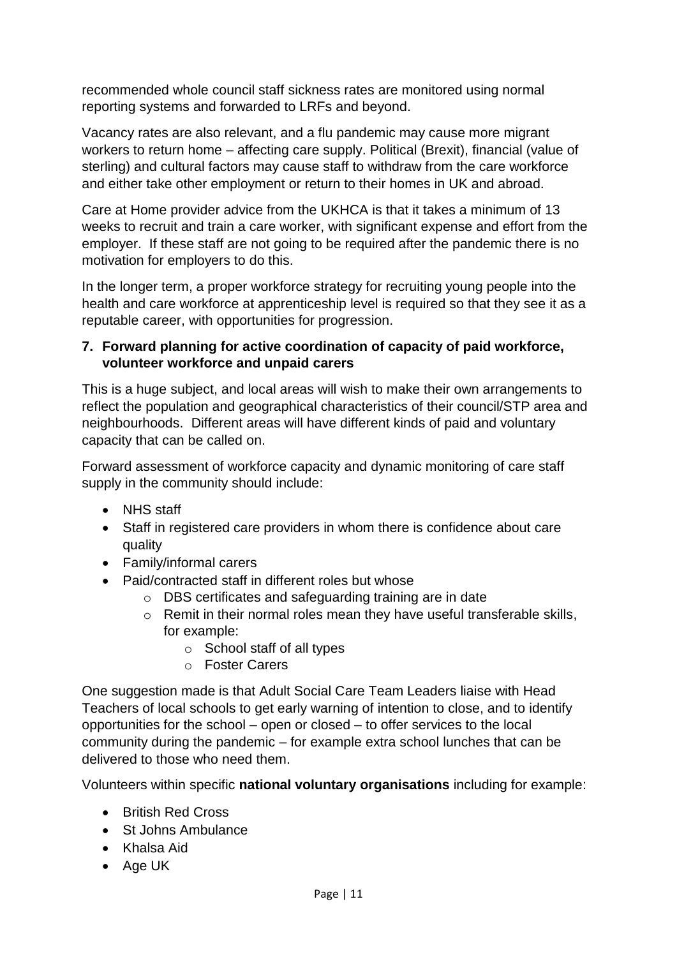recommended whole council staff sickness rates are monitored using normal reporting systems and forwarded to LRFs and beyond.

Vacancy rates are also relevant, and a flu pandemic may cause more migrant workers to return home – affecting care supply. Political (Brexit), financial (value of sterling) and cultural factors may cause staff to withdraw from the care workforce and either take other employment or return to their homes in UK and abroad.

Care at Home provider advice from the UKHCA is that it takes a minimum of 13 weeks to recruit and train a care worker, with significant expense and effort from the employer. If these staff are not going to be required after the pandemic there is no motivation for employers to do this.

In the longer term, a proper workforce strategy for recruiting young people into the health and care workforce at apprenticeship level is required so that they see it as a reputable career, with opportunities for progression.

## **7. Forward planning for active coordination of capacity of paid workforce, volunteer workforce and unpaid carers**

This is a huge subject, and local areas will wish to make their own arrangements to reflect the population and geographical characteristics of their council/STP area and neighbourhoods. Different areas will have different kinds of paid and voluntary capacity that can be called on.

Forward assessment of workforce capacity and dynamic monitoring of care staff supply in the community should include:

- NHS staff
- Staff in registered care providers in whom there is confidence about care quality
- Family/informal carers
- Paid/contracted staff in different roles but whose
	- o DBS certificates and safeguarding training are in date
	- o Remit in their normal roles mean they have useful transferable skills, for example:
		- o School staff of all types
		- o Foster Carers

One suggestion made is that Adult Social Care Team Leaders liaise with Head Teachers of local schools to get early warning of intention to close, and to identify opportunities for the school – open or closed – to offer services to the local community during the pandemic – for example extra school lunches that can be delivered to those who need them.

Volunteers within specific **national voluntary organisations** including for example:

- British Red Cross
- St Johns Ambulance
- Khalsa Aid
- Age UK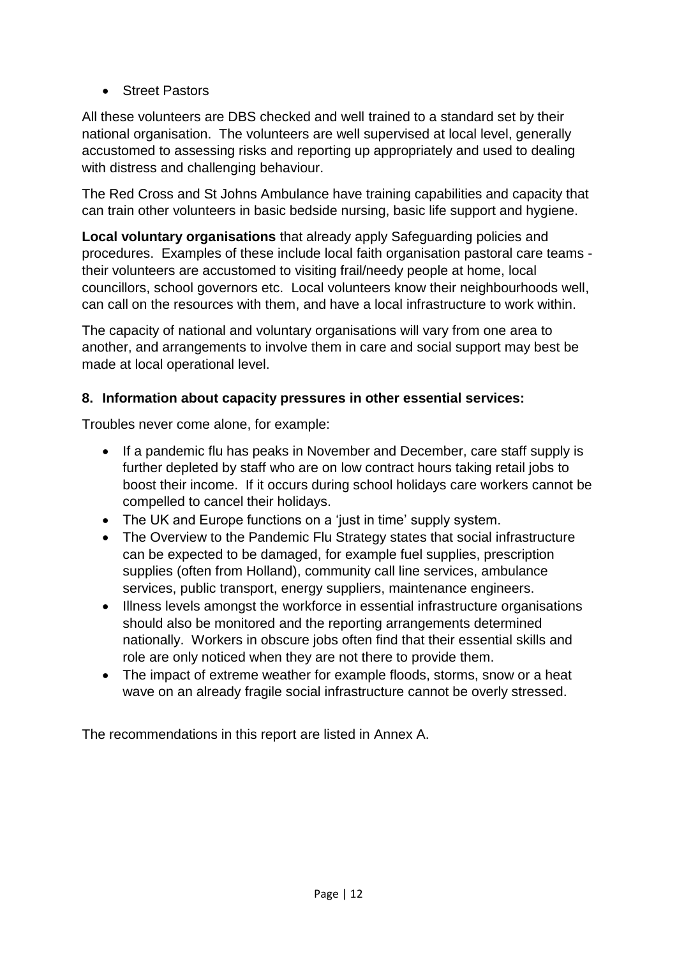• Street Pastors

All these volunteers are DBS checked and well trained to a standard set by their national organisation. The volunteers are well supervised at local level, generally accustomed to assessing risks and reporting up appropriately and used to dealing with distress and challenging behaviour.

The Red Cross and St Johns Ambulance have training capabilities and capacity that can train other volunteers in basic bedside nursing, basic life support and hygiene.

**Local voluntary organisations** that already apply Safeguarding policies and procedures. Examples of these include local faith organisation pastoral care teams their volunteers are accustomed to visiting frail/needy people at home, local councillors, school governors etc. Local volunteers know their neighbourhoods well, can call on the resources with them, and have a local infrastructure to work within.

The capacity of national and voluntary organisations will vary from one area to another, and arrangements to involve them in care and social support may best be made at local operational level.

## **8. Information about capacity pressures in other essential services:**

Troubles never come alone, for example:

- If a pandemic flu has peaks in November and December, care staff supply is further depleted by staff who are on low contract hours taking retail jobs to boost their income. If it occurs during school holidays care workers cannot be compelled to cancel their holidays.
- The UK and Europe functions on a 'just in time' supply system.
- The Overview to the Pandemic Flu Strategy states that social infrastructure can be expected to be damaged, for example fuel supplies, prescription supplies (often from Holland), community call line services, ambulance services, public transport, energy suppliers, maintenance engineers.
- Illness levels amongst the workforce in essential infrastructure organisations should also be monitored and the reporting arrangements determined nationally. Workers in obscure jobs often find that their essential skills and role are only noticed when they are not there to provide them.
- The impact of extreme weather for example floods, storms, snow or a heat wave on an already fragile social infrastructure cannot be overly stressed.

The recommendations in this report are listed in Annex A.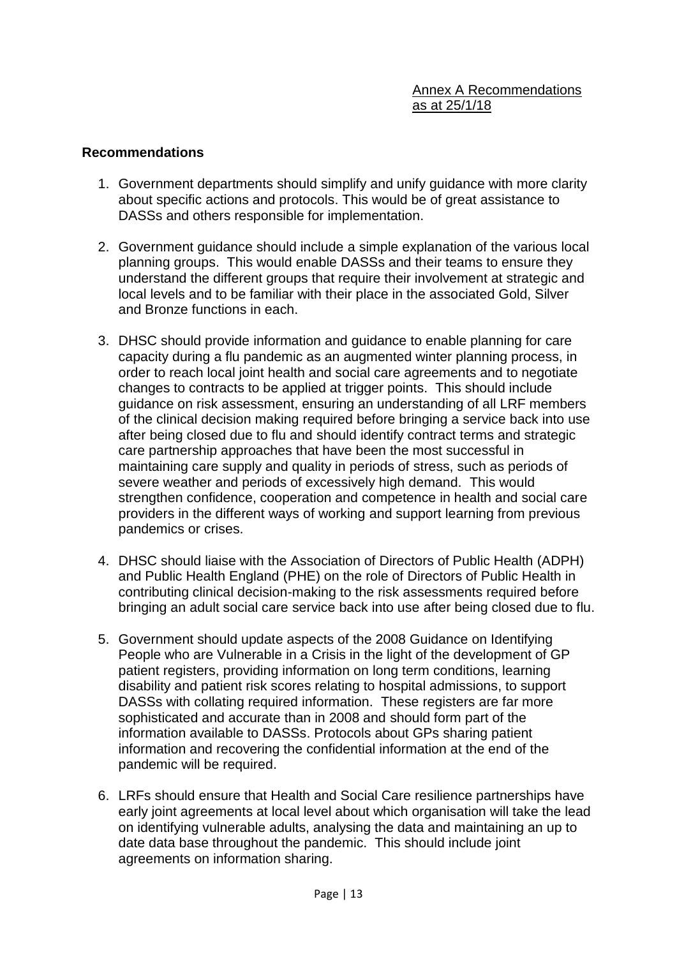#### **Recommendations**

- 1. Government departments should simplify and unify guidance with more clarity about specific actions and protocols. This would be of great assistance to DASSs and others responsible for implementation.
- 2. Government guidance should include a simple explanation of the various local planning groups. This would enable DASSs and their teams to ensure they understand the different groups that require their involvement at strategic and local levels and to be familiar with their place in the associated Gold, Silver and Bronze functions in each.
- 3. DHSC should provide information and guidance to enable planning for care capacity during a flu pandemic as an augmented winter planning process, in order to reach local joint health and social care agreements and to negotiate changes to contracts to be applied at trigger points. This should include guidance on risk assessment, ensuring an understanding of all LRF members of the clinical decision making required before bringing a service back into use after being closed due to flu and should identify contract terms and strategic care partnership approaches that have been the most successful in maintaining care supply and quality in periods of stress, such as periods of severe weather and periods of excessively high demand. This would strengthen confidence, cooperation and competence in health and social care providers in the different ways of working and support learning from previous pandemics or crises.
- 4. DHSC should liaise with the Association of Directors of Public Health (ADPH) and Public Health England (PHE) on the role of Directors of Public Health in contributing clinical decision-making to the risk assessments required before bringing an adult social care service back into use after being closed due to flu.
- 5. Government should update aspects of the 2008 Guidance on Identifying People who are Vulnerable in a Crisis in the light of the development of GP patient registers, providing information on long term conditions, learning disability and patient risk scores relating to hospital admissions, to support DASSs with collating required information. These registers are far more sophisticated and accurate than in 2008 and should form part of the information available to DASSs. Protocols about GPs sharing patient information and recovering the confidential information at the end of the pandemic will be required.
- 6. LRFs should ensure that Health and Social Care resilience partnerships have early joint agreements at local level about which organisation will take the lead on identifying vulnerable adults, analysing the data and maintaining an up to date data base throughout the pandemic. This should include joint agreements on information sharing.